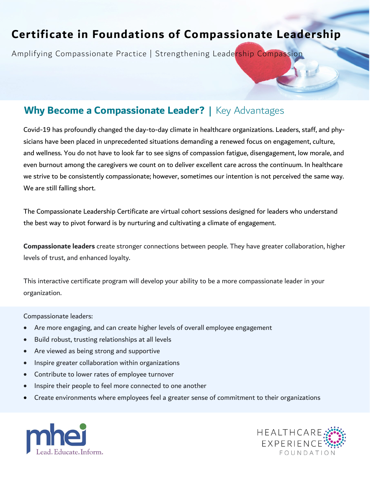# **Certificate in Foundations of Compassionate Leadership**

Amplifying Compassionate Practice | Strengthening Leadership Compassion

## **Why Become a Compassionate Leader? |** Key Advantages

Covid-19 has profoundly changed the day-to-day climate in healthcare organizations. Leaders, staff, and physicians have been placed in unprecedented situations demanding a renewed focus on engagement, culture, and wellness. You do not have to look far to see signs of compassion fatigue, disengagement, low morale, and even burnout among the caregivers we count on to deliver excellent care across the continuum. In healthcare we strive to be consistently compassionate; however, sometimes our intention is not perceived the same way. We are still falling short.

The Compassionate Leadership Certificate are virtual cohort sessions designed for leaders who understand the best way to pivot forward is by nurturing and cultivating a climate of engagement.

**Compassionate leaders** create stronger connections between people. They have greater collaboration, higher levels of trust, and enhanced loyalty.

This interactive certificate program will develop your ability to be a more compassionate leader in your organization.

Compassionate leaders:

- Are more engaging, and can create higher levels of overall employee engagement
- Build robust, trusting relationships at all levels
- Are viewed as being strong and supportive
- Inspire greater collaboration within organizations
- Contribute to lower rates of employee turnover
- Inspire their people to feel more connected to one another
- Create environments where employees feel a greater sense of commitment to their organizations



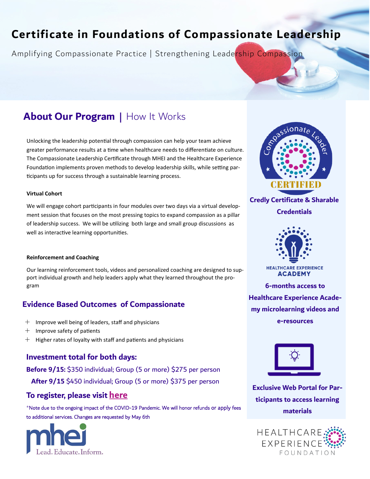# **Certificate in Foundations of Compassionate Leadership**

Amplifying Compassionate Practice | Strengthening Leadership Compassion

## **About Our Program |** How It Works

Unlocking the leadership potential through compassion can help your team achieve greater performance results at a time when healthcare needs to differentiate on culture. The Compassionate Leadership Certificate through MHEI and the Healthcare Experience Foundation implements proven methods to develop leadership skills, while setting participants up for success through a sustainable learning process.

#### **Virtual Cohort**

We will engage cohort participants in four modules over two days via a virtual development session that focuses on the most pressing topics to expand compassion as a pillar of leadership success. We will be utilizing both large and small group discussions as well as interactive learning opportunities.

#### **Reinforcement and Coaching**

Our learning reinforcement tools, videos and personalized coaching are designed to support individual growth and help leaders apply what they learned throughout the program

## **Evidence Based Outcomes of Compassionate**

- $+$  Improve well being of leaders, staff and physicians
- $+$  Improve safety of patients
- $+$  Higher rates of loyalty with staff and patients and physicians

## **Investment total for both days:**

**Before 9/15:** \$350 individual; Group (5 or more) \$275 per person  **After 9/15** \$450 individual; Group (5 or more) \$375 per person

## **To register, please visit [here](https://ww2.eventrebels.com/er/Registration/StepRegInfo.jsp?ActivityID=40404&StepNumber=1)**

\*Note due to the ongoing impact of the COVID-19 Pandemic. We will honor refunds or apply fees to additional services. Changes are requested by May 6th





**Credly Certificate & Sharable Credentials**



**HEALTHCARE EXPERIENCE ACADEMY** 

**6-months access to Healthcare Experience Academy microlearning videos and e-resources**



**Exclusive Web Portal for Participants to access learning materials**